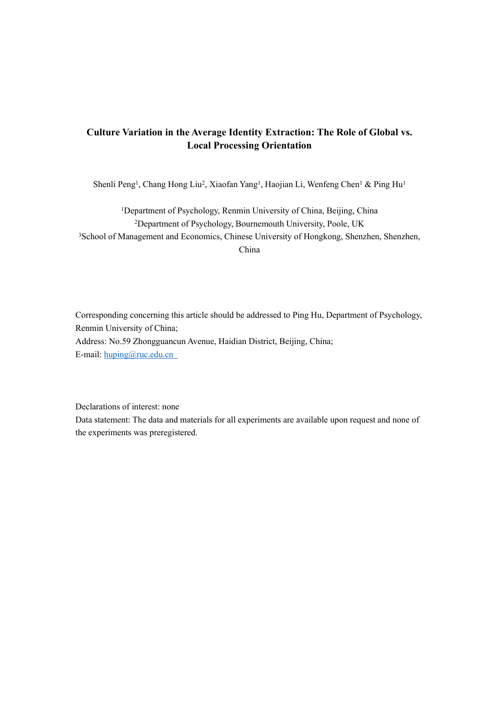# **Culture Variation in the Average Identity Extraction: The Role of Global vs. Local Processing Orientation**

Shenli Peng<sup>1</sup>, Chang Hong Liu<sup>2</sup>, Xiaofan Yang<sup>1</sup>, Haojian Li, Wenfeng Chen<sup>1</sup> & Ping Hu<sup>1</sup>

<sup>1</sup>Department of Psychology, Renmin University of China, Beijing, China <sup>2</sup>Department of Psychology, Bournemouth University, Poole, UK <sup>3</sup>School of Management and Economics, Chinese University of Hongkong, Shenzhen, Shenzhen, China

Corresponding concerning this article should be addressed to Ping Hu, Department of Psychology, Renmin University of China; Address: No.59 Zhongguancun Avenue, Haidian District, Beijing, China; E-mail: [huping@ruc.edu.cn](mailto:huping@ruc.edu.cn)

Declarations of interest: none

Data statement: The data and materials for all experiments are available upon request and none of the experiments was preregistered.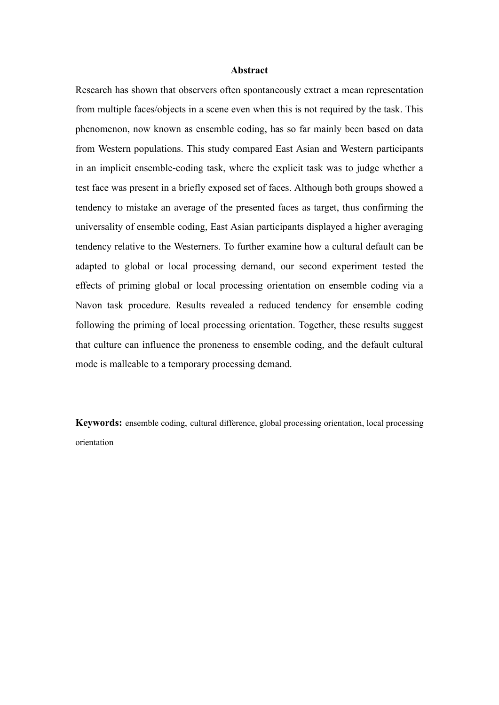# **Abstract**

Research has shown that observers often spontaneously extract a mean representation from multiple faces/objects in a scene even when this is not required by the task. This phenomenon, now known as ensemble coding, has so far mainly been based on data from Western populations. This study compared East Asian and Western participants in an implicit ensemble-coding task, where the explicit task was to judge whether a test face was present in a briefly exposed set of faces. Although both groups showed a tendency to mistake an average of the presented faces as target, thus confirming the universality of ensemble coding, East Asian participants displayed a higher averaging tendency relative to the Westerners. To further examine how a cultural default can be adapted to global or local processing demand, our second experiment tested the effects of priming global or local processing orientation on ensemble coding via a Navon task procedure. Results revealed a reduced tendency for ensemble coding following the priming of local processing orientation. Together, these results suggest that culture can influence the proneness to ensemble coding, and the default cultural mode is malleable to a temporary processing demand.

**Keywords:** ensemble coding, cultural difference, global processing orientation, local processing orientation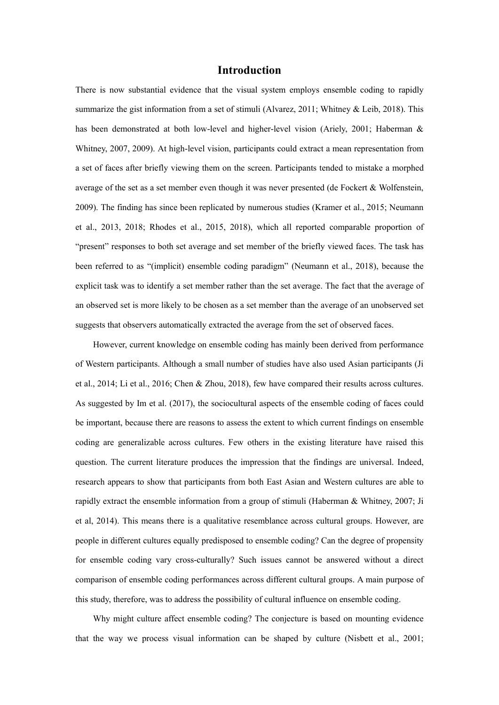# **Introduction**

There is now substantial evidence that the visual system employs ensemble coding to rapidly summarize the gist information from a set of stimuli (Alvarez, 2011; Whitney & Leib, 2018). This has been demonstrated at both low-level and higher-level vision (Ariely, 2001; Haberman & Whitney, 2007, 2009). At high-level vision, participants could extract a mean representation from a set of faces after briefly viewing them on the screen. Participants tended to mistake a morphed average of the set as a set member even though it was never presented (de Fockert & Wolfenstein, 2009). The finding has since been replicated by numerous studies (Kramer et al., 2015; Neumann et al., 2013, 2018; Rhodes et al., 2015, 2018), which all reported comparable proportion of "present" responses to both set average and set member of the briefly viewed faces. The task has been referred to as "(implicit) ensemble coding paradigm" (Neumann et al., 2018), because the explicit task was to identify a set member rather than the set average. The fact that the average of an observed set is more likely to be chosen as a set member than the average of an unobserved set suggests that observers automatically extracted the average from the set of observed faces.

However, current knowledge on ensemble coding has mainly been derived from performance of Western participants. Although a small number of studies have also used Asian participants (Ji et al., 2014; Li et al., 2016; Chen & Zhou, 2018), few have compared their results across cultures. As suggested by Im et al. (2017), the sociocultural aspects of the ensemble coding of faces could be important, because there are reasons to assess the extent to which current findings on ensemble coding are generalizable across cultures. Few others in the existing literature have raised this question. The current literature produces the impression that the findings are universal. Indeed, research appears to show that participants from both East Asian and Western cultures are able to rapidly extract the ensemble information from a group of stimuli (Haberman & Whitney, 2007; Ji et al, 2014). This means there is a qualitative resemblance across cultural groups. However, are people in different cultures equally predisposed to ensemble coding? Can the degree of propensity for ensemble coding vary cross-culturally? Such issues cannot be answered without a direct comparison of ensemble coding performances across different cultural groups. A main purpose of this study, therefore, was to address the possibility of cultural influence on ensemble coding.

 Why might culture affect ensemble coding? The conjecture is based on mounting evidence that the way we process visual information can be shaped by culture (Nisbett et al., 2001;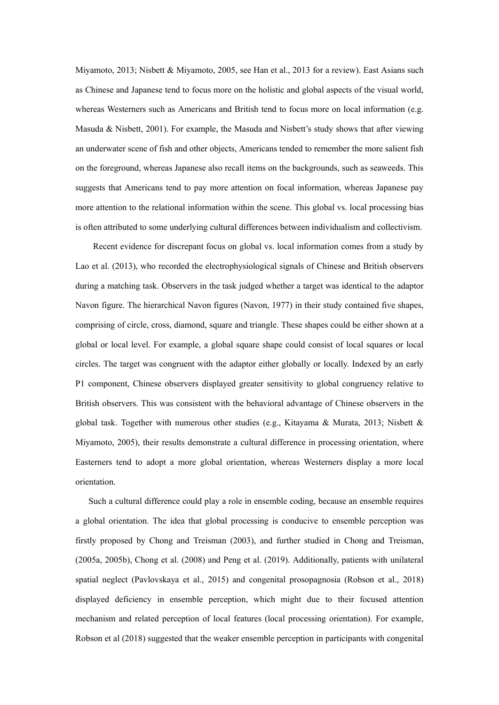Miyamoto, 2013; Nisbett & Miyamoto, 2005, see Han et al., 2013 for a review). East Asians such as Chinese and Japanese tend to focus more on the holistic and global aspects of the visual world, whereas Westerners such as Americans and British tend to focus more on local information (e.g. Masuda & Nisbett, 2001). For example, the Masuda and Nisbett's study shows that after viewing an underwater scene of fish and other objects, Americans tended to remember the more salient fish on the foreground, whereas Japanese also recall items on the backgrounds, such as seaweeds. This suggests that Americans tend to pay more attention on focal information, whereas Japanese pay more attention to the relational information within the scene. This global vs. local processing bias is often attributed to some underlying cultural differences between individualism and collectivism.

Recent evidence for discrepant focus on global vs. local information comes from a study by Lao et al. (2013), who recorded the electrophysiological signals of Chinese and British observers during a matching task. Observers in the task judged whether a target was identical to the adaptor Navon figure. The hierarchical Navon figures (Navon, 1977) in their study contained five shapes, comprising of circle, cross, diamond, square and triangle. These shapes could be either shown at a global or local level. For example, a global square shape could consist of local squares or local circles. The target was congruent with the adaptor either globally or locally. Indexed by an early P1 component, Chinese observers displayed greater sensitivity to global congruency relative to British observers. This was consistent with the behavioral advantage of Chinese observers in the global task. Together with numerous other studies (e.g., Kitayama & Murata, 2013; Nisbett & Miyamoto, 2005), their results demonstrate a cultural difference in processing orientation, where Easterners tend to adopt a more global orientation, whereas Westerners display a more local orientation.

Such a cultural difference could play a role in ensemble coding, because an ensemble requires a global orientation. The idea that global processing is conducive to ensemble perception was firstly proposed by Chong and Treisman (2003), and further studied in Chong and Treisman, (2005a, 2005b), Chong et al. (2008) and Peng et al. (2019). Additionally, patients with unilateral spatial neglect (Pavlovskaya et al., 2015) and congenital prosopagnosia (Robson et al., 2018) displayed deficiency in ensemble perception, which might due to their focused attention mechanism and related perception of local features (local processing orientation). For example, Robson et al (2018) suggested that the weaker ensemble perception in participants with congenital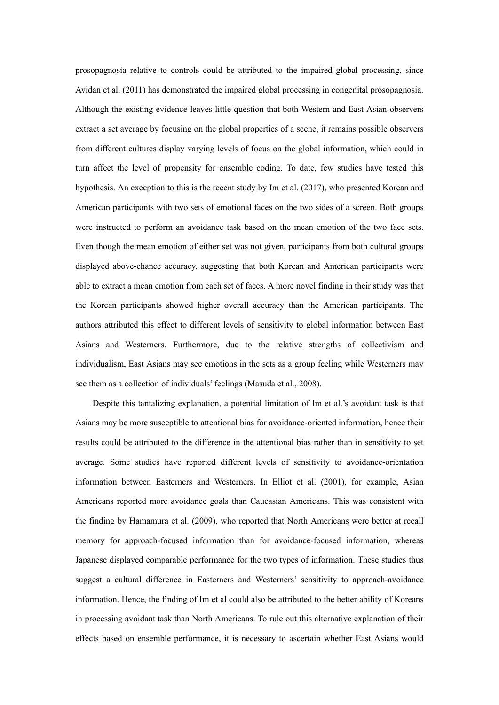prosopagnosia relative to controls could be attributed to the impaired global processing, since Avidan et al. (2011) has demonstrated the impaired global processing in congenital prosopagnosia. Although the existing evidence leaves little question that both Western and East Asian observers extract a set average by focusing on the global properties of a scene, it remains possible observers from different cultures display varying levels of focus on the global information, which could in turn affect the level of propensity for ensemble coding. To date, few studies have tested this hypothesis. An exception to this is the recent study by Im et al. (2017), who presented Korean and American participants with two sets of emotional faces on the two sides of a screen. Both groups were instructed to perform an avoidance task based on the mean emotion of the two face sets. Even though the mean emotion of either set was not given, participants from both cultural groups displayed above-chance accuracy, suggesting that both Korean and American participants were able to extract a mean emotion from each set of faces. A more novel finding in their study was that the Korean participants showed higher overall accuracy than the American participants. The authors attributed this effect to different levels of sensitivity to global information between East Asians and Westerners. Furthermore, due to the relative strengths of collectivism and individualism, East Asians may see emotions in the sets as a group feeling while Westerners may see them as a collection of individuals' feelings (Masuda et al., 2008).

Despite this tantalizing explanation, a potential limitation of Im et al.'s avoidant task is that Asians may be more susceptible to attentional bias for avoidance-oriented information, hence their results could be attributed to the difference in the attentional bias rather than in sensitivity to set average. Some studies have reported different levels of sensitivity to avoidance-orientation information between Easterners and Westerners. In Elliot et al. (2001), for example, Asian Americans reported more avoidance goals than Caucasian Americans. This was consistent with the finding by Hamamura et al. (2009), who reported that North Americans were better at recall memory for approach-focused information than for avoidance-focused information, whereas Japanese displayed comparable performance for the two types of information. These studies thus suggest a cultural difference in Easterners and Westerners' sensitivity to approach-avoidance information. Hence, the finding of Im et al could also be attributed to the better ability of Koreans in processing avoidant task than North Americans. To rule out this alternative explanation of their effects based on ensemble performance, it is necessary to ascertain whether East Asians would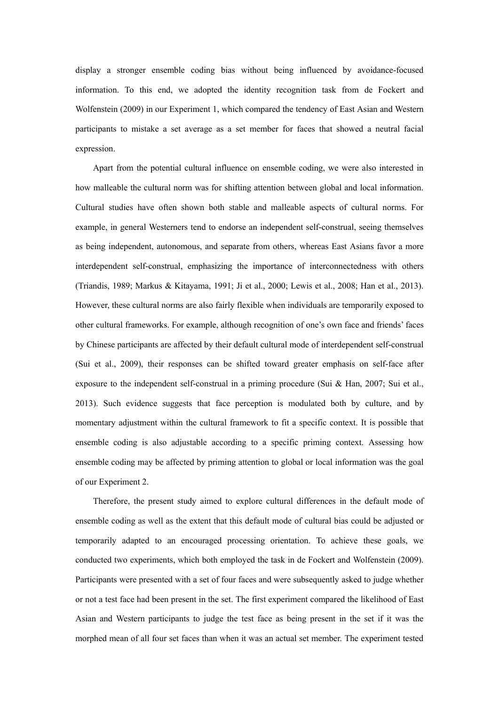display a stronger ensemble coding bias without being influenced by avoidance-focused information. To this end, we adopted the identity recognition task from de Fockert and Wolfenstein (2009) in our Experiment 1, which compared the tendency of East Asian and Western participants to mistake a set average as a set member for faces that showed a neutral facial expression.

Apart from the potential cultural influence on ensemble coding, we were also interested in how malleable the cultural norm was for shifting attention between global and local information. Cultural studies have often shown both stable and malleable aspects of cultural norms. For example, in general Westerners tend to endorse an independent self-construal, seeing themselves as being independent, autonomous, and separate from others, whereas East Asians favor a more interdependent self-construal, emphasizing the importance of interconnectedness with others (Triandis, 1989; Markus & Kitayama, 1991; Ji et al., 2000; Lewis et al., 2008; Han et al., 2013). However, these cultural norms are also fairly flexible when individuals are temporarily exposed to other cultural frameworks. For example, although recognition of one's own face and friends' faces by Chinese participants are affected by their default cultural mode of interdependent self-construal (Sui et al., 2009), their responses can be shifted toward greater emphasis on self-face after exposure to the independent self-construal in a priming procedure (Sui & Han, 2007; Sui et al., 2013). Such evidence suggests that face perception is modulated both by culture, and by momentary adjustment within the cultural framework to fit a specific context. It is possible that ensemble coding is also adjustable according to a specific priming context. Assessing how ensemble coding may be affected by priming attention to global or local information was the goal of our Experiment 2.

Therefore, the present study aimed to explore cultural differences in the default mode of ensemble coding as well as the extent that this default mode of cultural bias could be adjusted or temporarily adapted to an encouraged processing orientation. To achieve these goals, we conducted two experiments, which both employed the task in de Fockert and Wolfenstein (2009). Participants were presented with a set of four faces and were subsequently asked to judge whether or not a test face had been present in the set. The first experiment compared the likelihood of East Asian and Western participants to judge the test face as being present in the set if it was the morphed mean of all four set faces than when it was an actual set member. The experiment tested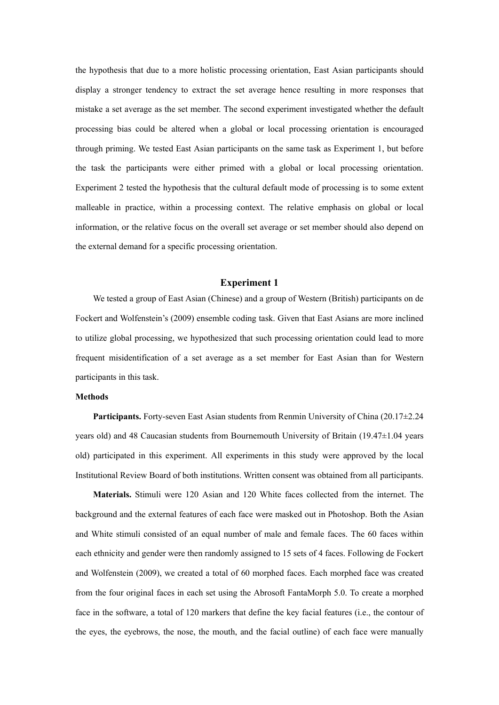the hypothesis that due to a more holistic processing orientation, East Asian participants should display a stronger tendency to extract the set average hence resulting in more responses that mistake a set average as the set member. The second experiment investigated whether the default processing bias could be altered when a global or local processing orientation is encouraged through priming. We tested East Asian participants on the same task as Experiment 1, but before the task the participants were either primed with a global or local processing orientation. Experiment 2 tested the hypothesis that the cultural default mode of processing is to some extent malleable in practice, within a processing context. The relative emphasis on global or local information, or the relative focus on the overall set average or set member should also depend on the external demand for a specific processing orientation.

### **Experiment 1**

We tested a group of East Asian (Chinese) and a group of Western (British) participants on de Fockert and Wolfenstein's (2009) ensemble coding task. Given that East Asians are more inclined to utilize global processing, we hypothesized that such processing orientation could lead to more frequent misidentification of a set average as a set member for East Asian than for Western participants in this task.

#### **Methods**

**Participants.** Forty-seven East Asian students from Renmin University of China (20.17±2.24 years old) and 48 Caucasian students from Bournemouth University of Britain (19.47±1.04 years old) participated in this experiment. All experiments in this study were approved by the local Institutional Review Board of both institutions. Written consent was obtained from all participants.

**Materials.** Stimuli were 120 Asian and 120 White faces collected from the internet. The background and the external features of each face were masked out in Photoshop. Both the Asian and White stimuli consisted of an equal number of male and female faces. The 60 faces within each ethnicity and gender were then randomly assigned to 15 sets of 4 faces. Following de Fockert and Wolfenstein (2009), we created a total of 60 morphed faces. Each morphed face was created from the four original faces in each set using the Abrosoft FantaMorph 5.0. To create a morphed face in the software, a total of 120 markers that define the key facial features (i.e., the contour of the eyes, the eyebrows, the nose, the mouth, and the facial outline) of each face were manually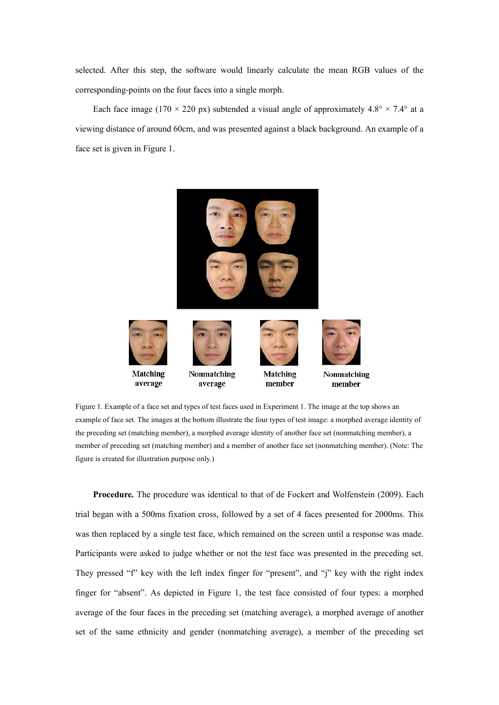selected. After this step, the software would linearly calculate the mean RGB values of the corresponding-points on the four faces into a single morph.

Each face image (170  $\times$  220 px) subtended a visual angle of approximately 4.8°  $\times$  7.4° at a viewing distance of around 60cm, and was presented against a black background. An example of a face set is given in Figure 1.



Figure 1. Example of a face set and types of test faces used in Experiment 1. The image at the top shows an example of face set. The images at the bottom illustrate the four types of test image: a morphed average identity of the preceding set (matching member), a morphed average identity of another face set (nonmatching member), a member of preceding set (matching member) and a member of another face set (nonmatching member). (Note: The figure is created for illustration purpose only.)

**Procedure***.* The procedure was identical to that of de Fockert and Wolfenstein (2009). Each trial began with a 500ms fixation cross, followed by a set of 4 faces presented for 2000ms. This was then replaced by a single test face, which remained on the screen until a response was made. Participants were asked to judge whether or not the test face was presented in the preceding set. They pressed "f" key with the left index finger for "present", and "j" key with the right index finger for "absent". As depicted in Figure 1, the test face consisted of four types: a morphed average of the four faces in the preceding set (matching average), a morphed average of another set of the same ethnicity and gender (nonmatching average), a member of the preceding set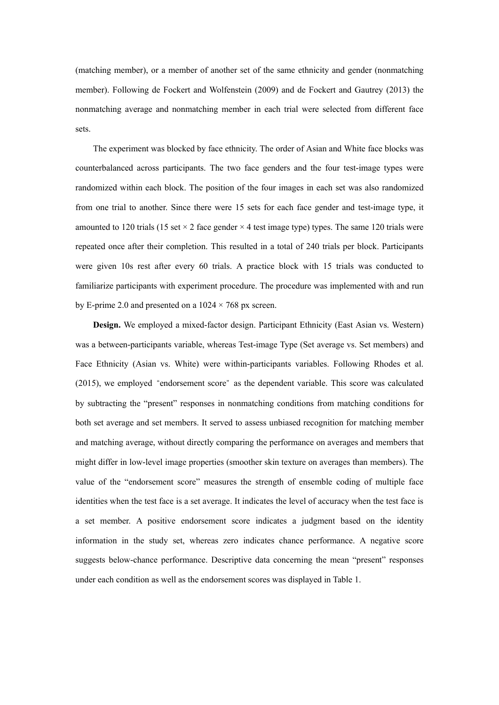(matching member), or a member of another set of the same ethnicity and gender (nonmatching member). Following de Fockert and Wolfenstein (2009) and de Fockert and Gautrey (2013) the nonmatching average and nonmatching member in each trial were selected from different face sets.

The experiment was blocked by face ethnicity. The order of Asian and White face blocks was counterbalanced across participants. The two face genders and the four test-image types were randomized within each block. The position of the four images in each set was also randomized from one trial to another. Since there were 15 sets for each face gender and test-image type, it amounted to 120 trials (15 set  $\times$  2 face gender  $\times$  4 test image type) types. The same 120 trials were repeated once after their completion. This resulted in a total of 240 trials per block. Participants were given 10s rest after every 60 trials. A practice block with 15 trials was conducted to familiarize participants with experiment procedure. The procedure was implemented with and run by E-prime 2.0 and presented on a  $1024 \times 768$  px screen.

**Design.** We employed a mixed-factor design. Participant Ethnicity (East Asian vs. Western) was a between-participants variable, whereas Test-image Type (Set average vs. Set members) and Face Ethnicity (Asian vs. White) were within-participants variables. Following Rhodes et al. (2015), we employed "endorsement score" as the dependent variable. This score was calculated by subtracting the "present" responses in nonmatching conditions from matching conditions for both set average and set members. It served to assess unbiased recognition for matching member and matching average, without directly comparing the performance on averages and members that might differ in low-level image properties (smoother skin texture on averages than members). The value of the "endorsement score" measures the strength of ensemble coding of multiple face identities when the test face is a set average. It indicates the level of accuracy when the test face is a set member. A positive endorsement score indicates a judgment based on the identity information in the study set, whereas zero indicates chance performance. A negative score suggests below-chance performance. Descriptive data concerning the mean "present" responses under each condition as well as the endorsement scores was displayed in Table 1.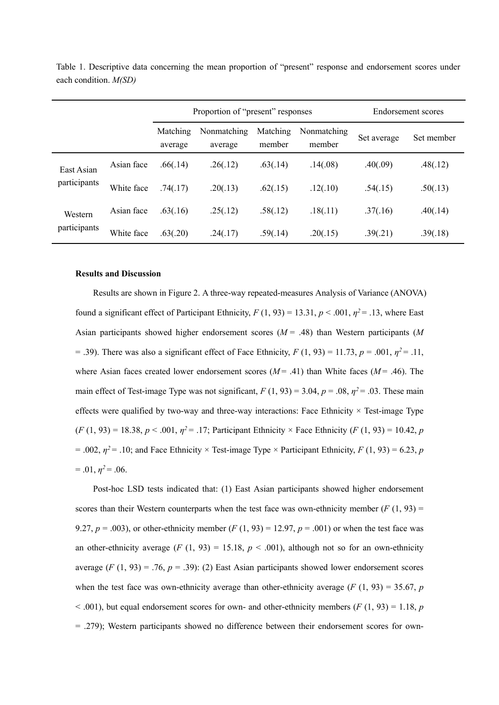|                            |            | Proportion of "present" responses |                        |                    |                       | Endorsement scores |            |
|----------------------------|------------|-----------------------------------|------------------------|--------------------|-----------------------|--------------------|------------|
|                            |            | Matching<br>average               | Nonmatching<br>average | Matching<br>member | Nonmatching<br>member | Set average        | Set member |
| East Asian<br>participants | Asian face | .66(.14)                          | .26(.12)               | .63(.14)           | .14(.08)              | .40(.09)           | .48(.12)   |
|                            | White face | .74(.17)                          | .20(.13)               | .62(.15)           | .12(.10)              | .54(.15)           | .50(.13)   |
| Western<br>participants    | Asian face | .63(.16)                          | .25(.12)               | .58(.12)           | .18(.11)              | .37(.16)           | .40(.14)   |
|                            | White face | .63(.20)                          | .24(.17)               | .59(.14)           | .20(.15)              | .39(.21)           | .39(.18)   |

Table 1. Descriptive data concerning the mean proportion of "present" response and endorsement scores under each condition. *M(SD)*

### **Results and Discussion**

Results are shown in Figure 2. A three-way repeated-measures Analysis of Variance (ANOVA) found a significant effect of Participant Ethnicity,  $F(1, 93) = 13.31$ ,  $p < .001$ ,  $\eta^2 = .13$ , where East Asian participants showed higher endorsement scores (*M* = .48) than Western participants (*M*  $=$  .39). There was also a significant effect of Face Ethnicity,  $F(1, 93) = 11.73$ ,  $p = .001$ ,  $\eta^2 = .11$ , where Asian faces created lower endorsement scores  $(M = .41)$  than White faces  $(M = .46)$ . The main effect of Test-image Type was not significant,  $F(1, 93) = 3.04$ ,  $p = .08$ ,  $p^2 = .03$ . These main effects were qualified by two-way and three-way interactions: Face Ethnicity  $\times$  Test-image Type  $(F (1, 93) = 18.38, p < .001, \eta^2 = .17$ ; Participant Ethnicity × Face Ethnicity  $(F (1, 93) = 10.42, p$  $= .002$ ,  $\eta^2 = .10$ ; and Face Ethnicity × Test-image Type × Participant Ethnicity, *F* (1, 93) = 6.23, *p*  $= .01, \eta^2 = .06.$ 

Post-hoc LSD tests indicated that: (1) East Asian participants showed higher endorsement scores than their Western counterparts when the test face was own-ethnicity member  $(F(1, 93) =$ 9.27,  $p = .003$ ), or other-ethnicity member (*F* (1, 93) = 12.97,  $p = .001$ ) or when the test face was an other-ethnicity average  $(F (1, 93) = 15.18, p < .001)$ , although not so for an own-ethnicity average  $(F (1, 93) = .76, p = .39)$ : (2) East Asian participants showed lower endorsement scores when the test face was own-ethnicity average than other-ethnicity average  $(F(1, 93) = 35.67, p$  $<$  .001), but equal endorsement scores for own- and other-ethnicity members ( $F(1, 93) = 1.18$ ,  $p($ = .279); Western participants showed no difference between their endorsement scores for own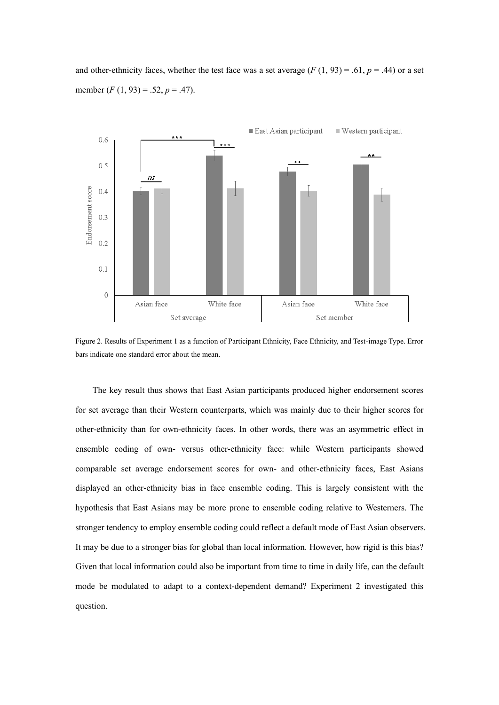and other-ethnicity faces, whether the test face was a set average  $(F(1, 93) = .61, p = .44)$  or a set member (*F* (1, 93) = .52, *p* = .47).



Figure 2. Results of Experiment 1 as a function of Participant Ethnicity, Face Ethnicity, and Test-image Type. Error bars indicate one standard error about the mean.

The key result thus shows that East Asian participants produced higher endorsement scores for set average than their Western counterparts, which was mainly due to their higher scores for other-ethnicity than for own-ethnicity faces. In other words, there was an asymmetric effect in ensemble coding of own- versus other-ethnicity face: while Western participants showed comparable set average endorsement scores for own- and other-ethnicity faces, East Asians displayed an other-ethnicity bias in face ensemble coding. This is largely consistent with the hypothesis that East Asians may be more prone to ensemble coding relative to Westerners. The stronger tendency to employ ensemble coding could reflect a default mode of East Asian observers. It may be due to a stronger bias for global than local information. However, how rigid is this bias? Given that local information could also be important from time to time in daily life, can the default mode be modulated to adapt to a context-dependent demand? Experiment 2 investigated this question.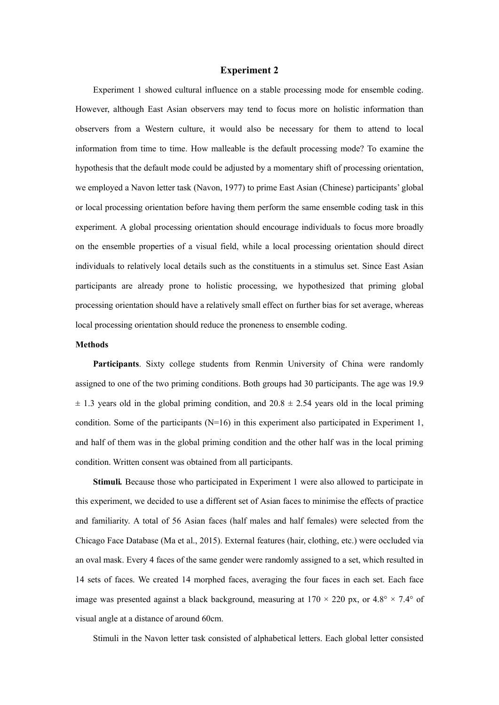#### **Experiment 2**

Experiment 1 showed cultural influence on a stable processing mode for ensemble coding. However, although East Asian observers may tend to focus more on holistic information than observers from a Western culture, it would also be necessary for them to attend to local information from time to time. How malleable is the default processing mode? To examine the hypothesis that the default mode could be adjusted by a momentary shift of processing orientation, we employed a Navon letter task (Navon, 1977) to prime East Asian (Chinese) participants' global or local processing orientation before having them perform the same ensemble coding task in this experiment. A global processing orientation should encourage individuals to focus more broadly on the ensemble properties of a visual field, while a local processing orientation should direct individuals to relatively local details such as the constituents in a stimulus set. Since East Asian participants are already prone to holistic processing, we hypothesized that priming global processing orientation should have a relatively small effect on further bias for set average, whereas local processing orientation should reduce the proneness to ensemble coding.

# **Methods**

**Participants**. Sixty college students from Renmin University of China were randomly assigned to one of the two priming conditions. Both groups had 30 participants. The age was 19.9  $\pm$  1.3 years old in the global priming condition, and 20.8  $\pm$  2.54 years old in the local priming condition. Some of the participants  $(N=16)$  in this experiment also participated in Experiment 1, and half of them was in the global priming condition and the other half was in the local priming condition. Written consent was obtained from all participants.

**Stimuli***.* Because those who participated in Experiment 1 were also allowed to participate in this experiment, we decided to use a different set of Asian faces to minimise the effects of practice and familiarity. A total of 56 Asian faces (half males and half females) were selected from the Chicago Face Database (Ma et al., 2015). External features (hair, clothing, etc.) were occluded via an oval mask. Every 4 faces of the same gender were randomly assigned to a set, which resulted in 14 sets of faces. We created 14 morphed faces, averaging the four faces in each set. Each face image was presented against a black background, measuring at  $170 \times 220$  px, or  $4.8^{\circ} \times 7.4^{\circ}$  of visual angle at a distance of around 60cm.

Stimuli in the Navon letter task consisted of alphabetical letters. Each global letter consisted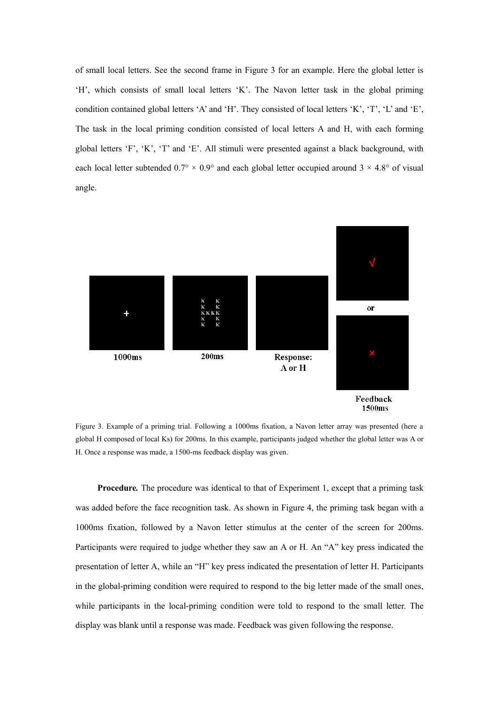of small local letters. See the second frame in Figure 3 for an example. Here the global letter is 'H', which consists of small local letters 'K'. The Navon letter task in the global priming condition contained global letters 'A' and 'H'. They consisted of local letters 'K', 'T', 'L' and 'E', The task in the local priming condition consisted of local letters A and H, with each forming global letters 'F', 'K', 'T' and 'E'. All stimuli were presented against a black background, with each local letter subtended  $0.7^{\circ} \times 0.9^{\circ}$  and each global letter occupied around  $3 \times 4.8^{\circ}$  of visual angle.



Figure 3. Example of a priming trial. Following a 1000ms fixation, a Navon letter array was presented (here a global H composed of local Ks) for 200ms. In this example, participants judged whether the global letter was A or H. Once a response was made, a 1500-ms feedback display was given.

**Procedure***.* The procedure was identical to that of Experiment 1, except that a priming task was added before the face recognition task. As shown in Figure 4, the priming task began with a 1000ms fixation, followed by a Navon letter stimulus at the center of the screen for 200ms. Participants were required to judge whether they saw an A or H. An "A" key press indicated the presentation of letter A, while an "H" key press indicated the presentation of letter H. Participants in the global-priming condition were required to respond to the big letter made of the small ones, while participants in the local-priming condition were told to respond to the small letter. The display was blank until a response was made. Feedback was given following the response.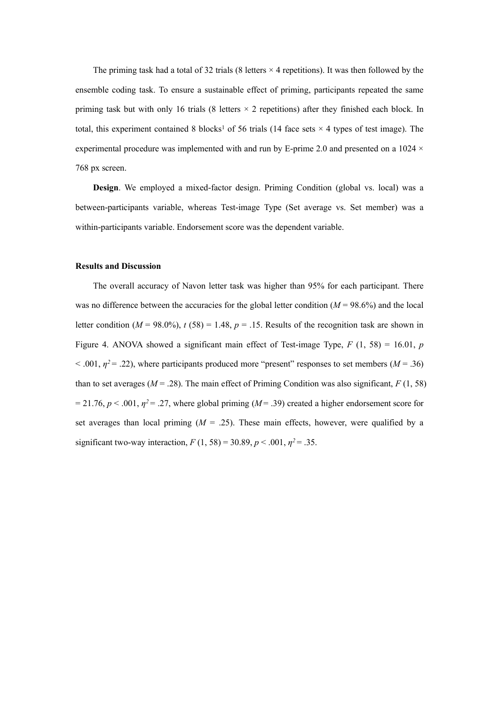The priming task had a total of 32 trials (8 letters  $\times$  4 repetitions). It was then followed by the ensemble coding task. To ensure a sustainable effect of priming, participants repeated the same priming task but with only 16 trials (8 letters × 2 repetitions) after they finished each block. In total, this experiment contained 8 blocks<sup>1</sup> of 56 trials (14 face sets  $\times$  4 types of test image). The experimental procedure was implemented with and run by E-prime 2.0 and presented on a  $1024 \times$ 768 px screen.

**Design**. We employed a mixed-factor design. Priming Condition (global vs. local) was a between-participants variable, whereas Test-image Type (Set average vs. Set member) was a within-participants variable. Endorsement score was the dependent variable.

#### **Results and Discussion**

The overall accuracy of Navon letter task was higher than 95% for each participant. There was no difference between the accuracies for the global letter condition ( $M = 98.6\%$ ) and the local letter condition ( $M = 98.0\%$ ),  $t (58) = 1.48$ ,  $p = .15$ . Results of the recognition task are shown in Figure 4. ANOVA showed a significant main effect of Test-image Type, *F* (1, 58) = 16.01, *p*  $<$  001,  $\eta$ <sup>2</sup> = .22), where participants produced more "present" responses to set members (*M* = .36) than to set averages ( $M = .28$ ). The main effect of Priming Condition was also significant,  $F(1, 58)$  $= 21.76$ ,  $p < .001$ ,  $\eta^2 = .27$ , where global priming ( $M = .39$ ) created a higher endorsement score for set averages than local priming  $(M = .25)$ . These main effects, however, were qualified by a significant two-way interaction,  $F(1, 58) = 30.89, p < .001, \eta^2 = .35$ .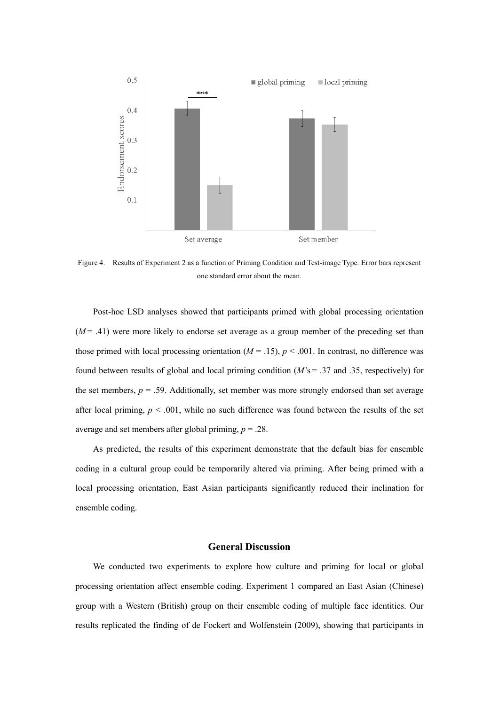

Figure 4. Results of Experiment 2 as a function of Priming Condition and Test-image Type. Error bars represent one standard error about the mean.

Post-hoc LSD analyses showed that participants primed with global processing orientation  $(M= .41)$  were more likely to endorse set average as a group member of the preceding set than those primed with local processing orientation ( $M = .15$ ),  $p < .001$ . In contrast, no difference was found between results of global and local priming condition (*M'*s = .37 and .35, respectively) for the set members,  $p = .59$ . Additionally, set member was more strongly endorsed than set average after local priming,  $p < .001$ , while no such difference was found between the results of the set average and set members after global priming, *p* = .28.

As predicted, the results of this experiment demonstrate that the default bias for ensemble coding in a cultural group could be temporarily altered via priming. After being primed with a local processing orientation, East Asian participants significantly reduced their inclination for ensemble coding.

# **General Discussion**

We conducted two experiments to explore how culture and priming for local or global processing orientation affect ensemble coding. Experiment 1 compared an East Asian (Chinese) group with a Western (British) group on their ensemble coding of multiple face identities. Our results replicated the finding of de Fockert and Wolfenstein (2009), showing that participants in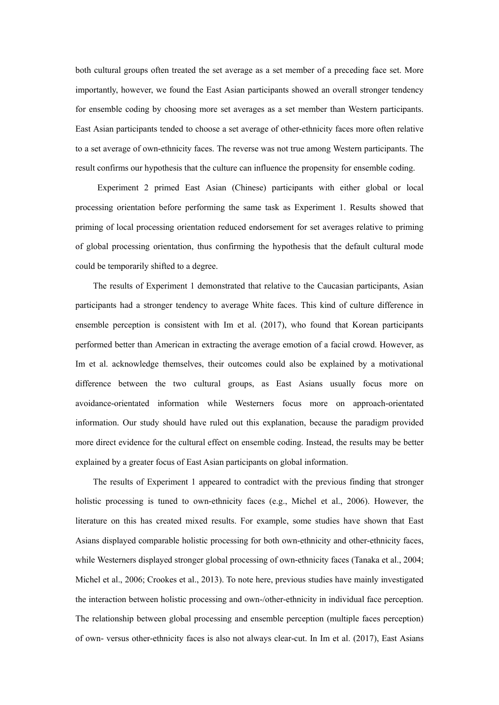both cultural groups often treated the set average as a set member of a preceding face set. More importantly, however, we found the East Asian participants showed an overall stronger tendency for ensemble coding by choosing more set averages as a set member than Western participants. East Asian participants tended to choose a set average of other-ethnicity faces more often relative to a set average of own-ethnicity faces. The reverse was not true among Western participants. The result confirms our hypothesis that the culture can influence the propensity for ensemble coding.

Experiment 2 primed East Asian (Chinese) participants with either global or local processing orientation before performing the same task as Experiment 1. Results showed that priming of local processing orientation reduced endorsement for set averages relative to priming of global processing orientation, thus confirming the hypothesis that the default cultural mode could be temporarily shifted to a degree.

The results of Experiment 1 demonstrated that relative to the Caucasian participants, Asian participants had a stronger tendency to average White faces. This kind of culture difference in ensemble perception is consistent with Im et al. (2017), who found that Korean participants performed better than American in extracting the average emotion of a facial crowd. However, as Im et al. acknowledge themselves, their outcomes could also be explained by a motivational difference between the two cultural groups, as East Asians usually focus more on avoidance-orientated information while Westerners focus more on approach-orientated information. Our study should have ruled out this explanation, because the paradigm provided more direct evidence for the cultural effect on ensemble coding. Instead, the results may be better explained by a greater focus of East Asian participants on global information.

The results of Experiment 1 appeared to contradict with the previous finding that stronger holistic processing is tuned to own-ethnicity faces (e.g., Michel et al., 2006). However, the literature on this has created mixed results. For example, some studies have shown that East Asians displayed comparable holistic processing for both own-ethnicity and other-ethnicity faces, while Westerners displayed stronger global processing of own-ethnicity faces (Tanaka et al., 2004; Michel et al., 2006; Crookes et al., 2013). To note here, previous studies have mainly investigated the interaction between holistic processing and own-/other-ethnicity in individual face perception. The relationship between global processing and ensemble perception (multiple faces perception) of own- versus other-ethnicity faces is also not always clear-cut. In Im et al. (2017), East Asians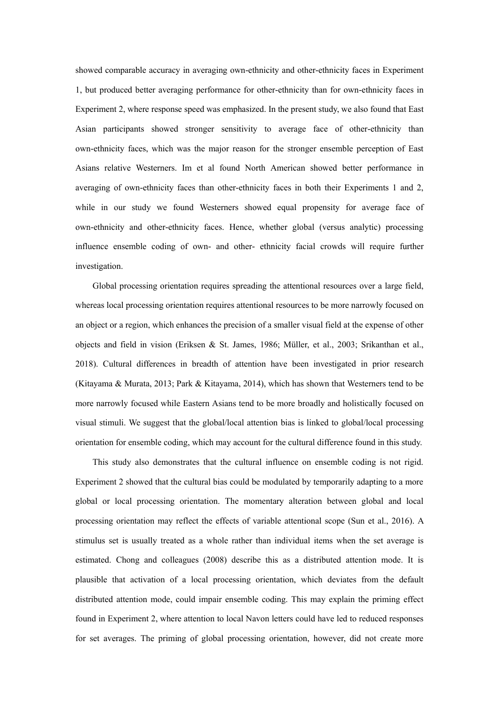showed comparable accuracy in averaging own-ethnicity and other-ethnicity faces in Experiment 1, but produced better averaging performance for other-ethnicity than for own-ethnicity faces in Experiment 2, where response speed was emphasized. In the present study, we also found that East Asian participants showed stronger sensitivity to average face of other-ethnicity than own-ethnicity faces, which was the major reason for the stronger ensemble perception of East Asians relative Westerners. Im et al found North American showed better performance in averaging of own-ethnicity faces than other-ethnicity faces in both their Experiments 1 and 2, while in our study we found Westerners showed equal propensity for average face of own-ethnicity and other-ethnicity faces. Hence, whether global (versus analytic) processing influence ensemble coding of own- and other- ethnicity facial crowds will require further investigation.

Global processing orientation requires spreading the attentional resources over a large field, whereas local processing orientation requires attentional resources to be more narrowly focused on an object or a region, which enhances the precision of a smaller visual field at the expense of other objects and field in vision (Eriksen & St. James, 1986; Müller, et al., 2003; Srikanthan et al., 2018). Cultural differences in breadth of attention have been investigated in prior research (Kitayama & Murata, 2013; Park & Kitayama, 2014), which has shown that Westerners tend to be more narrowly focused while Eastern Asians tend to be more broadly and holistically focused on visual stimuli. We suggest that the global/local attention bias is linked to global/local processing orientation for ensemble coding, which may account for the cultural difference found in this study.

This study also demonstrates that the cultural influence on ensemble coding is not rigid. Experiment 2 showed that the cultural bias could be modulated by temporarily adapting to a more global or local processing orientation. The momentary alteration between global and local processing orientation may reflect the effects of variable attentional scope (Sun et al., 2016). A stimulus set is usually treated as a whole rather than individual items when the set average is estimated. Chong and colleagues (2008) describe this as a distributed attention mode. It is plausible that activation of a local processing orientation, which deviates from the default distributed attention mode, could impair ensemble coding. This may explain the priming effect found in Experiment 2, where attention to local Navon letters could have led to reduced responses for set averages. The priming of global processing orientation, however, did not create more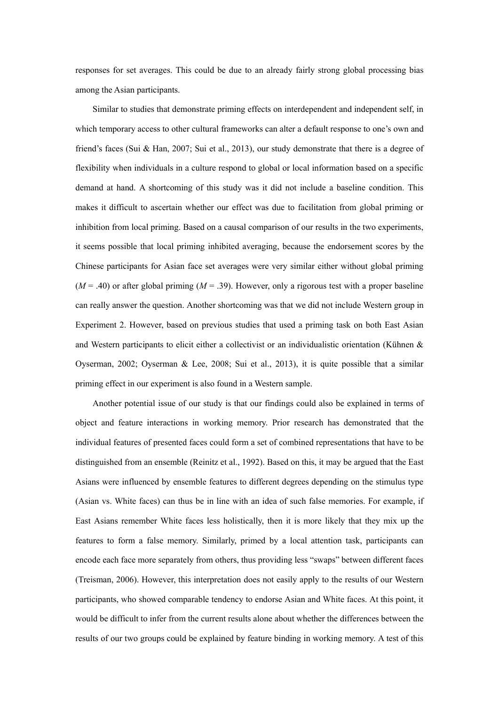responses for set averages. This could be due to an already fairly strong global processing bias among the Asian participants.

Similar to studies that demonstrate priming effects on interdependent and independent self, in which temporary access to other cultural frameworks can alter a default response to one's own and friend's faces (Sui & Han, 2007; Sui et al., 2013), our study demonstrate that there is a degree of flexibility when individuals in a culture respond to global or local information based on a specific demand at hand. A shortcoming of this study was it did not include a baseline condition. This makes it difficult to ascertain whether our effect was due to facilitation from global priming or inhibition from local priming. Based on a causal comparison of our results in the two experiments, it seems possible that local priming inhibited averaging, because the endorsement scores by the Chinese participants for Asian face set averages were very similar either without global priming  $(M = .40)$  or after global priming  $(M = .39)$ . However, only a rigorous test with a proper baseline can really answer the question. Another shortcoming was that we did not include Western group in Experiment 2. However, based on previous studies that used a priming task on both East Asian and Western participants to elicit either a collectivist or an individualistic orientation (Kühnen & Oyserman, 2002; Oyserman & Lee, 2008; Sui et al., 2013), it is quite possible that a similar priming effect in our experiment is also found in a Western sample.

Another potential issue of our study is that our findings could also be explained in terms of object and feature interactions in working memory. Prior research has demonstrated that the individual features of presented faces could form a set of combined representations that have to be distinguished from an ensemble (Reinitz et al., 1992). Based on this, it may be argued that the East Asians were influenced by ensemble features to different degrees depending on the stimulus type (Asian vs. White faces) can thus be in line with an idea of such false memories. For example, if East Asians remember White faces less holistically, then it is more likely that they mix up the features to form a false memory. Similarly, primed by a local attention task, participants can encode each face more separately from others, thus providing less "swaps" between different faces (Treisman, 2006). However, this interpretation does not easily apply to the results of our Western participants, who showed comparable tendency to endorse Asian and White faces. At this point, it would be difficult to infer from the current results alone about whether the differences between the results of our two groups could be explained by feature binding in working memory. A test of this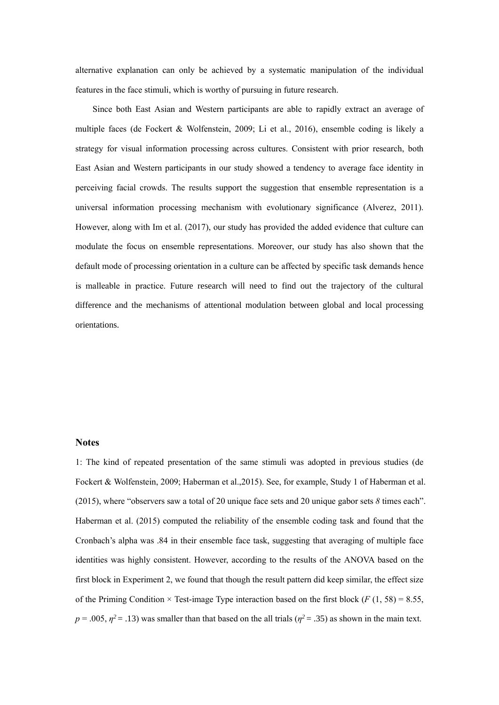alternative explanation can only be achieved by a systematic manipulation of the individual features in the face stimuli, which is worthy of pursuing in future research.

Since both East Asian and Western participants are able to rapidly extract an average of multiple faces (de Fockert & Wolfenstein, 2009; Li et al., 2016), ensemble coding is likely a strategy for visual information processing across cultures. Consistent with prior research, both East Asian and Western participants in our study showed a tendency to average face identity in perceiving facial crowds. The results support the suggestion that ensemble representation is a universal information processing mechanism with evolutionary significance (Alverez, 2011). However, along with Im et al. (2017), our study has provided the added evidence that culture can modulate the focus on ensemble representations. Moreover, our study has also shown that the default mode of processing orientation in a culture can be affected by specific task demands hence is malleable in practice. Future research will need to find out the trajectory of the cultural difference and the mechanisms of attentional modulation between global and local processing orientations.

### **Notes**

1: The kind of repeated presentation of the same stimuli was adopted in previous studies (de Fockert & Wolfenstein, 2009; Haberman et al.,2015). See, for example, Study 1 of Haberman et al. (2015), where "observers saw a total of 20 unique face sets and 20 unique gabor sets *8* times each". Haberman et al. (2015) computed the reliability of the ensemble coding task and found that the Cronbach's alpha was .84 in their ensemble face task, suggesting that averaging of multiple face identities was highly consistent. However, according to the results of the ANOVA based on the first block in Experiment 2, we found that though the result pattern did keep similar, the effect size of the Priming Condition  $\times$  Test-image Type interaction based on the first block (*F* (1, 58) = 8.55,  $p = .005$ ,  $p^2 = .13$ ) was smaller than that based on the all trials ( $p^2 = .35$ ) as shown in the main text.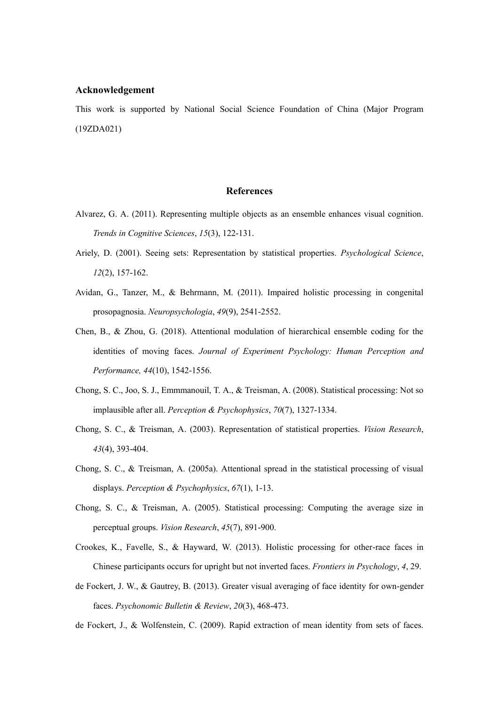## **Acknowledgement**

This work is supported by National Social Science Foundation of China (Major Program (19ZDA021)

# **References**

- Alvarez, G. A. (2011). Representing multiple objects as an ensemble enhances visual cognition. *Trends in Cognitive Sciences*, *15*(3), 122-131.
- Ariely, D. (2001). Seeing sets: Representation by statistical properties. *Psychological Science*, *12*(2), 157-162.
- Avidan, G., Tanzer, M., & Behrmann, M. (2011). Impaired holistic processing in congenital prosopagnosia. *Neuropsychologia*, *49*(9), 2541-2552.
- Chen, B., & Zhou, G. (2018). Attentional modulation of hierarchical ensemble coding for the identities of moving faces. *Journal of Experiment Psychology: Human Perception and Performance, 44*(10), 1542-1556.
- Chong, S. C., Joo, S. J., Emmmanouil, T. A., & Treisman, A. (2008). Statistical processing: Not so implausible after all. *Perception & Psychophysics*, *70*(7), 1327-1334.
- Chong, S. C., & Treisman, A. (2003). Representation of statistical properties. *Vision Research*, *43*(4), 393-404.
- Chong, S. C., & Treisman, A. (2005a). Attentional spread in the statistical processing of visual displays. *Perception & Psychophysics*, *67*(1), 1-13.
- Chong, S. C., & Treisman, A. (2005). Statistical processing: Computing the average size in perceptual groups. *Vision Research*, *45*(7), 891-900.
- Crookes, K., Favelle, S., & Hayward, W. (2013). Holistic processing for other-race faces in Chinese participants occurs for upright but not inverted faces. *Frontiers in Psychology*, *4*, 29.
- de Fockert, J. W., & Gautrey, B. (2013). Greater visual averaging of face identity for own-gender faces. *Psychonomic Bulletin & Review*, *20*(3), 468-473.
- de Fockert, J., & Wolfenstein, C. (2009). Rapid extraction of mean identity from sets of faces.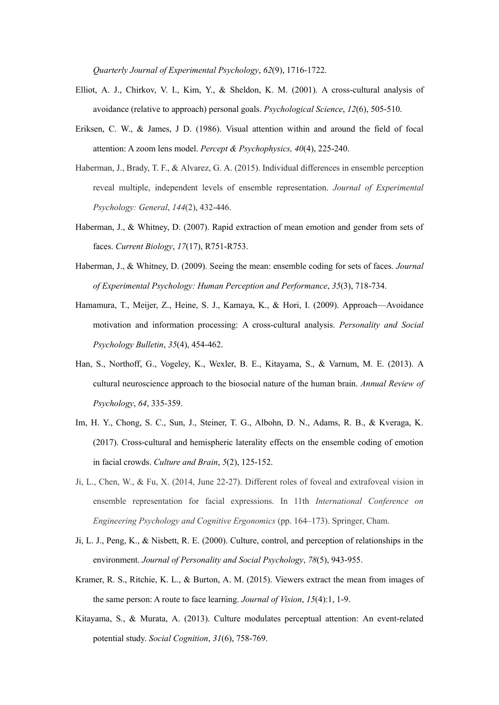*Quarterly Journal of Experimental Psychology*, *62*(9), 1716-1722.

- Elliot, A. J., Chirkov, V. I., Kim, Y., & Sheldon, K. M. (2001). A cross-cultural analysis of avoidance (relative to approach) personal goals. *Psychological Science*, *12*(6), 505-510.
- Eriksen, C. W., & James, J D. (1986). Visual attention within and around the field of focal attention: A zoom lens model. *Percept & Psychophysics, 40*(4), 225-240.
- Haberman, J., Brady, T. F., & Alvarez, G. A. (2015). Individual differences in ensemble perception reveal multiple, independent levels of ensemble representation. *Journal of Experimental Psychology: General*, *144*(2), 432-446.
- Haberman, J., & Whitney, D. (2007). Rapid extraction of mean emotion and gender from sets of faces. *Current Biology*, *17*(17), R751-R753.
- Haberman, J., & Whitney, D. (2009). Seeing the mean: ensemble coding for sets of faces. *Journal of Experimental Psychology: Human Perception and Performance*, *35*(3), 718-734.
- Hamamura, T., Meijer, Z., Heine, S. J., Kamaya, K., & Hori, I. (2009). Approach—Avoidance motivation and information processing: A cross-cultural analysis. *Personality and Social Psychology Bulletin*, *35*(4), 454-462.
- Han, S., Northoff, G., Vogeley, K., Wexler, B. E., Kitayama, S., & Varnum, M. E. (2013). A cultural neuroscience approach to the biosocial nature of the human brain. *Annual Review of Psychology*, *64*, 335-359.
- Im, H. Y., Chong, S. C., Sun, J., Steiner, T. G., Albohn, D. N., Adams, R. B., & Kveraga, K. (2017). Cross-cultural and hemispheric laterality effects on the ensemble coding of emotion in facial crowds. *Culture and Brain*, *5*(2), 125-152.
- Ji, L., Chen, W., & Fu, X. (2014, June 22-27). Different roles of foveal and extrafoveal vision in ensemble representation for facial expressions. In 11th *International Conference on Engineering Psychology and Cognitive Ergonomics* (pp. 164–173). Springer, Cham.
- Ji, L. J., Peng, K., & Nisbett, R. E. (2000). Culture, control, and perception of relationships in the environment. *Journal of Personality and Social Psychology*, *78*(5), 943-955.
- Kramer, R. S., Ritchie, K. L., & Burton, A. M. (2015). Viewers extract the mean from images of the same person: A route to face learning. *Journal of Vision*, *15*(4):1, 1-9.
- Kitayama, S., & Murata, A. (2013). Culture modulates perceptual attention: An event-related potential study. *Social Cognition*, *31*(6), 758-769.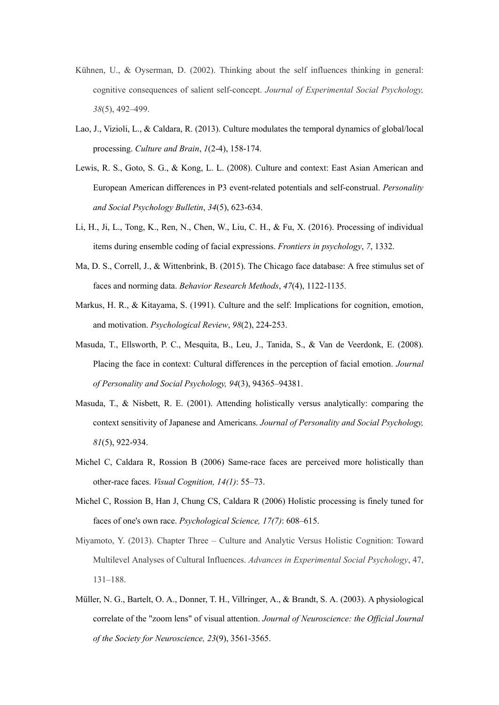- Kühnen, U., & Oyserman, D. (2002). Thinking about the self influences thinking in general: cognitive consequences of salient self-concept. *Journal of Experimental Social Psychology, 38*(5), 492–499.
- Lao, J., Vizioli, L., & Caldara, R. (2013). Culture modulates the temporal dynamics of global/local processing. *Culture and Brain*, *1*(2-4), 158-174.
- Lewis, R. S., Goto, S. G., & Kong, L. L. (2008). Culture and context: East Asian American and European American differences in P3 event-related potentials and self-construal. *Personality and Social Psychology Bulletin*, *34*(5), 623-634.
- Li, H., Ji, L., Tong, K., Ren, N., Chen, W., Liu, C. H., & Fu, X. (2016). Processing of individual items during ensemble coding of facial expressions. *Frontiers in psychology*, *7*, 1332.
- Ma, D. S., Correll, J., & Wittenbrink, B. (2015). The Chicago face database: A free stimulus set of faces and norming data. *Behavior Research Methods*, *47*(4), 1122-1135.
- Markus, H. R., & Kitayama, S. (1991). Culture and the self: Implications for cognition, emotion, and motivation. *Psychological Review*, *98*(2), 224-253.
- Masuda, T., Ellsworth, P. C., Mesquita, B., Leu, J., Tanida, S., & Van de Veerdonk, E. (2008). Placing the face in context: Cultural differences in the perception of facial emotion. *Journal of Personality and Social Psychology, 94*(3), 94365–94381.
- Masuda, T., & Nisbett, R. E. (2001). Attending holistically versus analytically: comparing the context sensitivity of Japanese and Americans. *Journal of Personality and Social Psychology, 81*(5), 922-934.
- Michel C, Caldara R, Rossion B (2006) Same-race faces are perceived more holistically than other-race faces. *Visual Cognition, 14(1)*: 55–73.
- Michel C, Rossion B, Han J, Chung CS, Caldara R (2006) Holistic processing is finely tuned for faces of one's own race. *Psychological Science, 17(7)*: 608–615.
- Miyamoto, Y. (2013). Chapter Three Culture and Analytic Versus Holistic Cognition: Toward Multilevel Analyses of Cultural Influences. *Advances in Experimental Social Psychology*, 47, 131–188.
- Müller, N. G., Bartelt, O. A., Donner, T. H., Villringer, A., & Brandt, S. A. (2003). A physiological correlate of the "zoom lens" of visual attention. *Journal of Neuroscience: the Official Journal of the Society for Neuroscience, 23*(9), 3561-3565.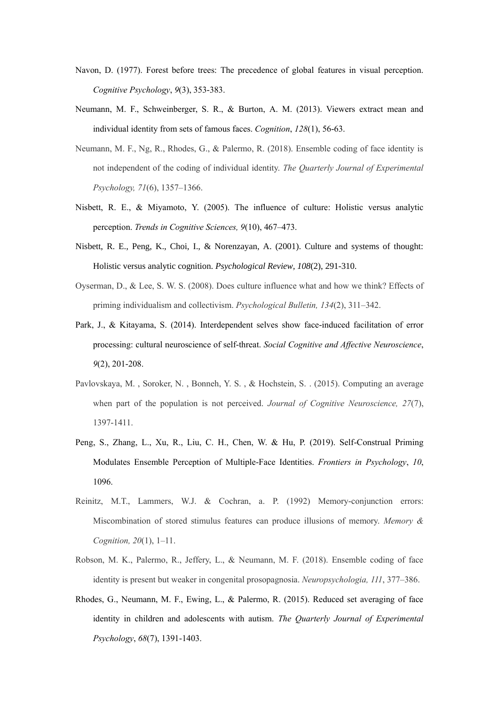- Navon, D. (1977). Forest before trees: The precedence of global features in visual perception. *Cognitive Psychology*, *9*(3), 353-383.
- Neumann, M. F., Schweinberger, S. R., & Burton, A. M. (2013). Viewers extract mean and individual identity from sets of famous faces. *Cognition*, *128*(1), 56-63.
- Neumann, M. F., Ng, R., Rhodes, G., & Palermo, R. (2018). Ensemble coding of face identity is not independent of the coding of individual identity. *The Quarterly Journal of Experimental Psychology, 71*(6), 1357–1366.
- Nisbett, R. E., & Miyamoto, Y. (2005). The influence of culture: Holistic versus analytic perception. *Trends in Cognitive Sciences, 9*(10), 467–473.
- Nisbett, R. E., Peng, K., Choi, I., & Norenzayan, A. (2001). Culture and systems of thought: Holistic versus analytic cognition. *Psychological Review, 108*(2), 291-310.
- Oyserman, D., & Lee, S. W. S. (2008). Does culture influence what and how we think? Effects of priming individualism and collectivism. *Psychological Bulletin, 134*(2), 311–342.
- Park, J., & Kitayama, S. (2014). Interdependent selves show face-induced facilitation of error processing: cultural neuroscience of self-threat. *Social Cognitive and Affective Neuroscience*, *9*(2), 201-208.
- Pavlovskaya, M. , Soroker, N. , Bonneh, Y. S. , & Hochstein, S. . (2015). Computing an average when part of the population is not perceived. *Journal of Cognitive Neuroscience, 27*(7), 1397-1411.
- Peng, S., Zhang, L., Xu, R., Liu, C. H., Chen, W. & Hu, P. (2019). Self-Construal Priming Modulates Ensemble Perception of Multiple-Face Identities. *Frontiers in Psychology*, *10*, 1096.
- Reinitz, M.T., Lammers, W.J. & Cochran, a. P. (1992) Memory-conjunction errors: Miscombination of stored stimulus features can produce illusions of memory. *Memory & Cognition, 20*(1), 1–11.
- Robson, M. K., Palermo, R., Jeffery, L., & Neumann, M. F. (2018). Ensemble coding of face identity is present but weaker in congenital prosopagnosia. *Neuropsychologia, 111*, 377–386.
- Rhodes, G., Neumann, M. F., Ewing, L., & Palermo, R. (2015). Reduced set averaging of face identity in children and adolescents with autism. *The Quarterly Journal of Experimental Psychology*, *68*(7), 1391-1403.